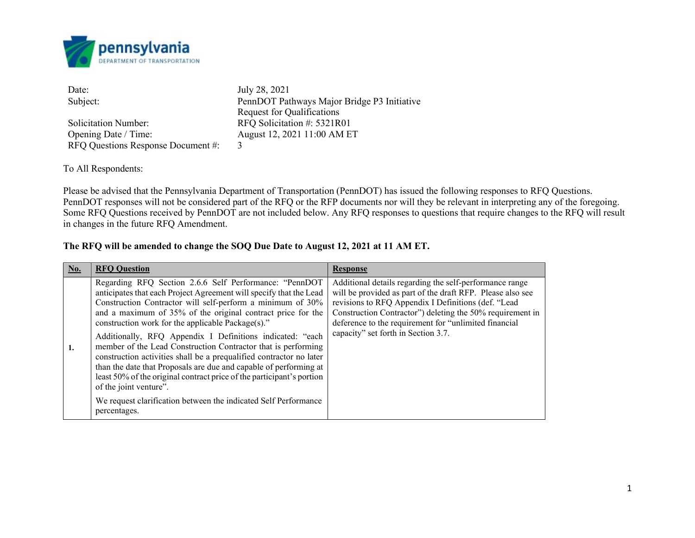

| Date:                              | July 28, 2021                               |
|------------------------------------|---------------------------------------------|
| Subject:                           | PennDOT Pathways Major Bridge P3 Initiative |
|                                    | <b>Request for Qualifications</b>           |
| Solicitation Number:               | RFQ Solicitation #: 5321R01                 |
| Opening Date / Time:               | August 12, 2021 11:00 AM ET                 |
| RFQ Questions Response Document #: | 3                                           |

To All Respondents:

Please be advised that the Pennsylvania Department of Transportation (PennDOT) has issued the following responses to RFQ Questions. PennDOT responses will not be considered part of the RFQ or the RFP documents nor will they be relevant in interpreting any of the foregoing. Some RFQ Questions received by PennDOT are not included below. Any RFQ responses to questions that require changes to the RFQ will result in changes in the future RFQ Amendment.

## **The RFQ will be amended to change the SOQ Due Date to August 12, 2021 at 11 AM ET.**

| No. | <b>RFO Question</b>                                                                                                                                                                                                                                                                                                                                                                                                                                                                                                                                                                                                                                                                                                                                                            | <b>Response</b>                                                                                                                                                                                                                                                                                                                           |
|-----|--------------------------------------------------------------------------------------------------------------------------------------------------------------------------------------------------------------------------------------------------------------------------------------------------------------------------------------------------------------------------------------------------------------------------------------------------------------------------------------------------------------------------------------------------------------------------------------------------------------------------------------------------------------------------------------------------------------------------------------------------------------------------------|-------------------------------------------------------------------------------------------------------------------------------------------------------------------------------------------------------------------------------------------------------------------------------------------------------------------------------------------|
| 1.  | Regarding RFQ Section 2.6.6 Self Performance: "PennDOT<br>anticipates that each Project Agreement will specify that the Lead<br>Construction Contractor will self-perform a minimum of 30%<br>and a maximum of 35% of the original contract price for the<br>construction work for the applicable Package(s)."<br>Additionally, RFQ Appendix I Definitions indicated: "each<br>member of the Lead Construction Contractor that is performing<br>construction activities shall be a prequalified contractor no later<br>than the date that Proposals are due and capable of performing at<br>least 50% of the original contract price of the participant's portion<br>of the joint venture".<br>We request clarification between the indicated Self Performance<br>percentages. | Additional details regarding the self-performance range<br>will be provided as part of the draft RFP. Please also see<br>revisions to RFQ Appendix I Definitions (def. "Lead<br>Construction Contractor") deleting the 50% requirement in<br>deference to the requirement for "unlimited financial<br>capacity" set forth in Section 3.7. |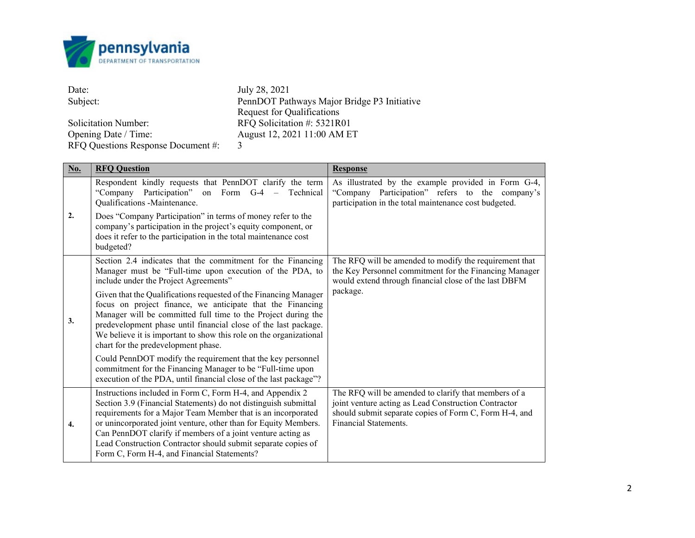

| Date:                              | July 28, 2021                               |
|------------------------------------|---------------------------------------------|
| Subject:                           | PennDOT Pathways Major Bridge P3 Initiative |
|                                    | <b>Request for Qualifications</b>           |
| Solicitation Number:               | RFQ Solicitation #: 5321R01                 |
| Opening Date / Time:               | August 12, 2021 11:00 AM ET                 |
| RFQ Questions Response Document #: | $\mathbf{3}$                                |

| No. | <b>RFQ Question</b>                                                                                                                                                                                                                                                                                                                                                                                                                            | <b>Response</b>                                                                                                                                                                                 |
|-----|------------------------------------------------------------------------------------------------------------------------------------------------------------------------------------------------------------------------------------------------------------------------------------------------------------------------------------------------------------------------------------------------------------------------------------------------|-------------------------------------------------------------------------------------------------------------------------------------------------------------------------------------------------|
|     | Respondent kindly requests that PennDOT clarify the term<br>"Company Participation"<br>on Form $G-4$ –<br>Technical<br>Qualifications -Maintenance.                                                                                                                                                                                                                                                                                            | As illustrated by the example provided in Form G-4,<br>"Company Participation" refers to the company's<br>participation in the total maintenance cost budgeted.                                 |
| 2.  | Does "Company Participation" in terms of money refer to the<br>company's participation in the project's equity component, or<br>does it refer to the participation in the total maintenance cost<br>budgeted?                                                                                                                                                                                                                                  |                                                                                                                                                                                                 |
|     | Section 2.4 indicates that the commitment for the Financing<br>Manager must be "Full-time upon execution of the PDA, to<br>include under the Project Agreements"                                                                                                                                                                                                                                                                               | The RFQ will be amended to modify the requirement that<br>the Key Personnel commitment for the Financing Manager<br>would extend through financial close of the last DBFM                       |
| 3.  | Given that the Qualifications requested of the Financing Manager<br>focus on project finance, we anticipate that the Financing<br>Manager will be committed full time to the Project during the<br>predevelopment phase until financial close of the last package.<br>We believe it is important to show this role on the organizational<br>chart for the predevelopment phase.                                                                | package.                                                                                                                                                                                        |
|     | Could PennDOT modify the requirement that the key personnel<br>commitment for the Financing Manager to be "Full-time upon<br>execution of the PDA, until financial close of the last package"?                                                                                                                                                                                                                                                 |                                                                                                                                                                                                 |
| 4.  | Instructions included in Form C, Form H-4, and Appendix 2<br>Section 3.9 (Financial Statements) do not distinguish submittal<br>requirements for a Major Team Member that is an incorporated<br>or unincorporated joint venture, other than for Equity Members.<br>Can PennDOT clarify if members of a joint venture acting as<br>Lead Construction Contractor should submit separate copies of<br>Form C, Form H-4, and Financial Statements? | The RFQ will be amended to clarify that members of a<br>joint venture acting as Lead Construction Contractor<br>should submit separate copies of Form C, Form H-4, and<br>Financial Statements. |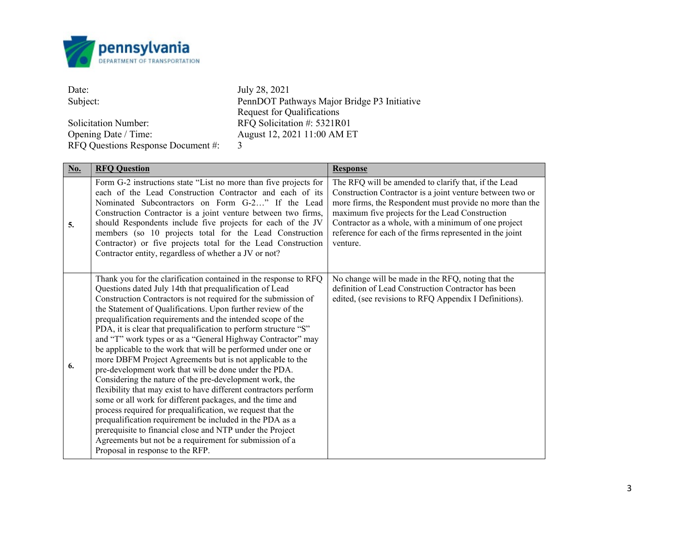

| Date:                              | July 28, 2021                               |
|------------------------------------|---------------------------------------------|
| Subject:                           | PennDOT Pathways Major Bridge P3 Initiative |
|                                    | <b>Request for Qualifications</b>           |
| <b>Solicitation Number:</b>        | RFQ Solicitation #: 5321R01                 |
| Opening Date / Time:               | August 12, 2021 11:00 AM ET                 |
| RFQ Questions Response Document #: | $\mathbf{3}$                                |

| <b>No.</b> | <b>RFQ Question</b>                                                                                                                                                                                                                                                                                                                                                                                                                                                                                                                                                                                                                                                                                                                                                                                                                                                                                                                                                                                                                                                                                                                    | <b>Response</b>                                                                                                                                                                                                                                                                                                                                                  |
|------------|----------------------------------------------------------------------------------------------------------------------------------------------------------------------------------------------------------------------------------------------------------------------------------------------------------------------------------------------------------------------------------------------------------------------------------------------------------------------------------------------------------------------------------------------------------------------------------------------------------------------------------------------------------------------------------------------------------------------------------------------------------------------------------------------------------------------------------------------------------------------------------------------------------------------------------------------------------------------------------------------------------------------------------------------------------------------------------------------------------------------------------------|------------------------------------------------------------------------------------------------------------------------------------------------------------------------------------------------------------------------------------------------------------------------------------------------------------------------------------------------------------------|
| 5.         | Form G-2 instructions state "List no more than five projects for<br>each of the Lead Construction Contractor and each of its<br>Nominated Subcontractors on Form G-2" If the Lead<br>Construction Contractor is a joint venture between two firms,<br>should Respondents include five projects for each of the JV<br>members (so 10 projects total for the Lead Construction<br>Contractor) or five projects total for the Lead Construction<br>Contractor entity, regardless of whether a JV or not?                                                                                                                                                                                                                                                                                                                                                                                                                                                                                                                                                                                                                                  | The RFQ will be amended to clarify that, if the Lead<br>Construction Contractor is a joint venture between two or<br>more firms, the Respondent must provide no more than the<br>maximum five projects for the Lead Construction<br>Contractor as a whole, with a minimum of one project<br>reference for each of the firms represented in the joint<br>venture. |
| 6.         | Thank you for the clarification contained in the response to RFQ<br>Questions dated July 14th that prequalification of Lead<br>Construction Contractors is not required for the submission of<br>the Statement of Qualifications. Upon further review of the<br>prequalification requirements and the intended scope of the<br>PDA, it is clear that prequalification to perform structure "S"<br>and "T" work types or as a "General Highway Contractor" may<br>be applicable to the work that will be performed under one or<br>more DBFM Project Agreements but is not applicable to the<br>pre-development work that will be done under the PDA.<br>Considering the nature of the pre-development work, the<br>flexibility that may exist to have different contractors perform<br>some or all work for different packages, and the time and<br>process required for prequalification, we request that the<br>prequalification requirement be included in the PDA as a<br>prerequisite to financial close and NTP under the Project<br>Agreements but not be a requirement for submission of a<br>Proposal in response to the RFP. | No change will be made in the RFQ, noting that the<br>definition of Lead Construction Contractor has been<br>edited, (see revisions to RFQ Appendix I Definitions).                                                                                                                                                                                              |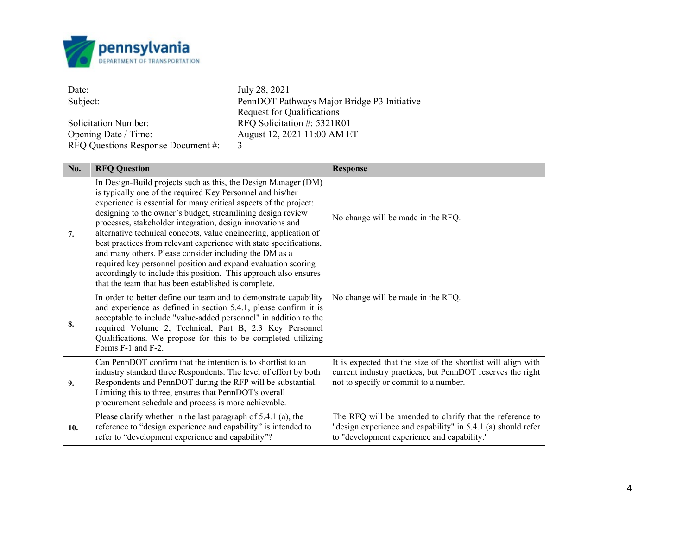

| Date:                              | July 28, 2021                               |
|------------------------------------|---------------------------------------------|
| Subject:                           | PennDOT Pathways Major Bridge P3 Initiative |
|                                    | <b>Request for Qualifications</b>           |
| <b>Solicitation Number:</b>        | RFQ Solicitation #: 5321R01                 |
| Opening Date / Time:               | August 12, 2021 11:00 AM ET                 |
| RFQ Questions Response Document #: | 3                                           |

| No. | <b>RFQ Question</b>                                                                                                                                                                                                                                                                                                                                                                                                                                                                                                                                                                                                                                                                                                              | <b>Response</b>                                                                                                                                                         |
|-----|----------------------------------------------------------------------------------------------------------------------------------------------------------------------------------------------------------------------------------------------------------------------------------------------------------------------------------------------------------------------------------------------------------------------------------------------------------------------------------------------------------------------------------------------------------------------------------------------------------------------------------------------------------------------------------------------------------------------------------|-------------------------------------------------------------------------------------------------------------------------------------------------------------------------|
| 7.  | In Design-Build projects such as this, the Design Manager (DM)<br>is typically one of the required Key Personnel and his/her<br>experience is essential for many critical aspects of the project:<br>designing to the owner's budget, streamlining design review<br>processes, stakeholder integration, design innovations and<br>alternative technical concepts, value engineering, application of<br>best practices from relevant experience with state specifications,<br>and many others. Please consider including the DM as a<br>required key personnel position and expand evaluation scoring<br>accordingly to include this position. This approach also ensures<br>that the team that has been established is complete. | No change will be made in the RFQ.                                                                                                                                      |
| 8.  | In order to better define our team and to demonstrate capability<br>and experience as defined in section 5.4.1, please confirm it is<br>acceptable to include "value-added personnel" in addition to the<br>required Volume 2, Technical, Part B, 2.3 Key Personnel<br>Qualifications. We propose for this to be completed utilizing<br>Forms F-1 and F-2.                                                                                                                                                                                                                                                                                                                                                                       | No change will be made in the RFQ.                                                                                                                                      |
| 9.  | Can PennDOT confirm that the intention is to shortlist to an<br>industry standard three Respondents. The level of effort by both<br>Respondents and PennDOT during the RFP will be substantial.<br>Limiting this to three, ensures that PennDOT's overall<br>procurement schedule and process is more achievable.                                                                                                                                                                                                                                                                                                                                                                                                                | It is expected that the size of the shortlist will align with<br>current industry practices, but PennDOT reserves the right<br>not to specify or commit to a number.    |
| 10. | Please clarify whether in the last paragraph of 5.4.1 (a), the<br>reference to "design experience and capability" is intended to<br>refer to "development experience and capability"?                                                                                                                                                                                                                                                                                                                                                                                                                                                                                                                                            | The RFQ will be amended to clarify that the reference to<br>"design experience and capability" in 5.4.1 (a) should refer<br>to "development experience and capability." |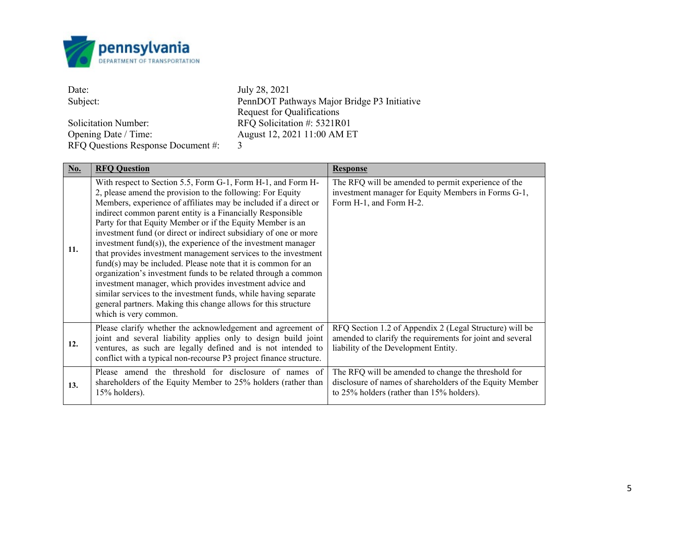

| Date:                              | July 28, 2021                               |
|------------------------------------|---------------------------------------------|
| Subject:                           | PennDOT Pathways Major Bridge P3 Initiative |
|                                    | <b>Request for Qualifications</b>           |
| <b>Solicitation Number:</b>        | RFQ Solicitation #: 5321R01                 |
| Opening Date / Time:               | August 12, 2021 11:00 AM ET                 |
| RFQ Questions Response Document #: | 3                                           |

| No. | <b>RFQ Question</b>                                                                                                                                                                                                                                                                                                                                                                                                                                                                                                                                                                                                                                                                                                                                                                                                                                                                                 | <b>Response</b>                                                                                                                                              |
|-----|-----------------------------------------------------------------------------------------------------------------------------------------------------------------------------------------------------------------------------------------------------------------------------------------------------------------------------------------------------------------------------------------------------------------------------------------------------------------------------------------------------------------------------------------------------------------------------------------------------------------------------------------------------------------------------------------------------------------------------------------------------------------------------------------------------------------------------------------------------------------------------------------------------|--------------------------------------------------------------------------------------------------------------------------------------------------------------|
| 11. | With respect to Section 5.5, Form G-1, Form H-1, and Form H-<br>2, please amend the provision to the following: For Equity<br>Members, experience of affiliates may be included if a direct or<br>indirect common parent entity is a Financially Responsible<br>Party for that Equity Member or if the Equity Member is an<br>investment fund (or direct or indirect subsidiary of one or more<br>investment fund $(s)$ , the experience of the investment manager<br>that provides investment management services to the investment<br>$fund(s)$ may be included. Please note that it is common for an<br>organization's investment funds to be related through a common<br>investment manager, which provides investment advice and<br>similar services to the investment funds, while having separate<br>general partners. Making this change allows for this structure<br>which is very common. | The RFQ will be amended to permit experience of the<br>investment manager for Equity Members in Forms G-1,<br>Form H-1, and Form H-2.                        |
| 12. | Please clarify whether the acknowledgement and agreement of<br>joint and several liability applies only to design build joint<br>ventures, as such are legally defined and is not intended to<br>conflict with a typical non-recourse P3 project finance structure.                                                                                                                                                                                                                                                                                                                                                                                                                                                                                                                                                                                                                                 | RFQ Section 1.2 of Appendix 2 (Legal Structure) will be<br>amended to clarify the requirements for joint and several<br>liability of the Development Entity. |
| 13. | Please amend the threshold for disclosure of names of<br>shareholders of the Equity Member to 25% holders (rather than<br>15% holders).                                                                                                                                                                                                                                                                                                                                                                                                                                                                                                                                                                                                                                                                                                                                                             | The RFQ will be amended to change the threshold for<br>disclosure of names of shareholders of the Equity Member<br>to 25% holders (rather than 15% holders). |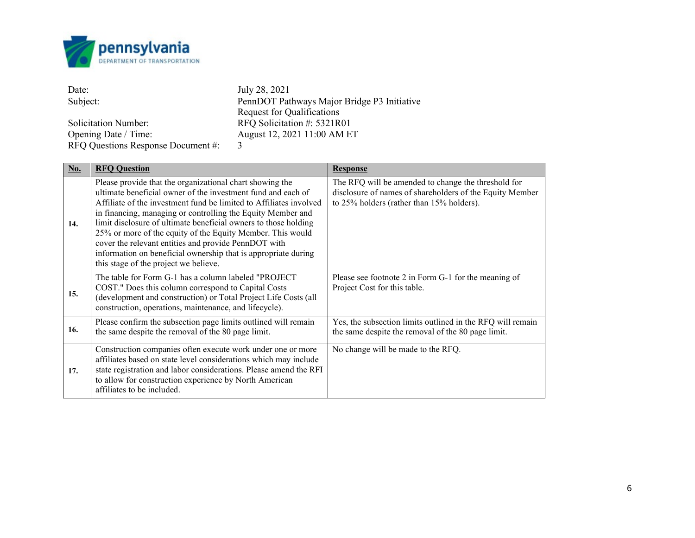

| Date:                              | July 28, 2021                               |
|------------------------------------|---------------------------------------------|
| Subject:                           | PennDOT Pathways Major Bridge P3 Initiative |
|                                    | <b>Request for Qualifications</b>           |
| <b>Solicitation Number:</b>        | RFQ Solicitation #: 5321R01                 |
| Opening Date / Time:               | August 12, 2021 11:00 AM ET                 |
| RFQ Questions Response Document #: | 3                                           |

| No. | <b>RFQ Question</b>                                                                                                                                                                                                                                                                                                                                                                                                                                                                                                                                               | <b>Response</b>                                                                                                                                              |
|-----|-------------------------------------------------------------------------------------------------------------------------------------------------------------------------------------------------------------------------------------------------------------------------------------------------------------------------------------------------------------------------------------------------------------------------------------------------------------------------------------------------------------------------------------------------------------------|--------------------------------------------------------------------------------------------------------------------------------------------------------------|
| 14. | Please provide that the organizational chart showing the<br>ultimate beneficial owner of the investment fund and each of<br>Affiliate of the investment fund be limited to Affiliates involved<br>in financing, managing or controlling the Equity Member and<br>limit disclosure of ultimate beneficial owners to those holding<br>25% or more of the equity of the Equity Member. This would<br>cover the relevant entities and provide PennDOT with<br>information on beneficial ownership that is appropriate during<br>this stage of the project we believe. | The RFQ will be amended to change the threshold for<br>disclosure of names of shareholders of the Equity Member<br>to 25% holders (rather than 15% holders). |
| 15. | The table for Form G-1 has a column labeled "PROJECT"<br>COST." Does this column correspond to Capital Costs<br>(development and construction) or Total Project Life Costs (all<br>construction, operations, maintenance, and lifecycle).                                                                                                                                                                                                                                                                                                                         | Please see footnote 2 in Form G-1 for the meaning of<br>Project Cost for this table.                                                                         |
| 16. | Please confirm the subsection page limits outlined will remain<br>the same despite the removal of the 80 page limit.                                                                                                                                                                                                                                                                                                                                                                                                                                              | Yes, the subsection limits outlined in the RFQ will remain<br>the same despite the removal of the 80 page limit.                                             |
| 17. | Construction companies often execute work under one or more<br>affiliates based on state level considerations which may include<br>state registration and labor considerations. Please amend the RFI<br>to allow for construction experience by North American<br>affiliates to be included.                                                                                                                                                                                                                                                                      | No change will be made to the RFQ.                                                                                                                           |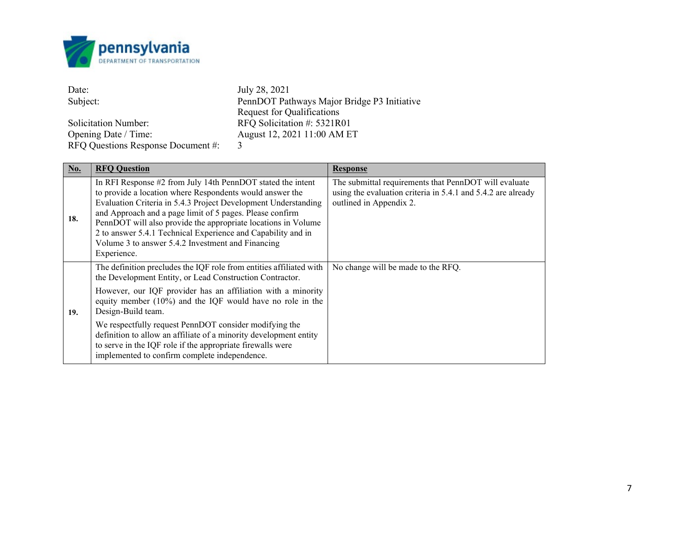

| Date:                              | July 28, 2021                               |
|------------------------------------|---------------------------------------------|
| Subject:                           | PennDOT Pathways Major Bridge P3 Initiative |
|                                    | <b>Request for Qualifications</b>           |
| <b>Solicitation Number:</b>        | RFQ Solicitation #: 5321R01                 |
| Opening Date / Time:               | August 12, 2021 11:00 AM ET                 |
| RFQ Questions Response Document #: | 3                                           |

| No. | <b>RFQ Question</b>                                                                                                                                                                                                                                                                                                                                                                                                                                        | <b>Response</b>                                                                                                                                  |
|-----|------------------------------------------------------------------------------------------------------------------------------------------------------------------------------------------------------------------------------------------------------------------------------------------------------------------------------------------------------------------------------------------------------------------------------------------------------------|--------------------------------------------------------------------------------------------------------------------------------------------------|
| 18. | In RFI Response #2 from July 14th PennDOT stated the intent<br>to provide a location where Respondents would answer the<br>Evaluation Criteria in 5.4.3 Project Development Understanding<br>and Approach and a page limit of 5 pages. Please confirm<br>PennDOT will also provide the appropriate locations in Volume<br>2 to answer 5.4.1 Technical Experience and Capability and in<br>Volume 3 to answer 5.4.2 Investment and Financing<br>Experience. | The submittal requirements that PennDOT will evaluate<br>using the evaluation criteria in 5.4.1 and 5.4.2 are already<br>outlined in Appendix 2. |
|     | The definition precludes the IQF role from entities affiliated with<br>the Development Entity, or Lead Construction Contractor.                                                                                                                                                                                                                                                                                                                            | No change will be made to the RFQ.                                                                                                               |
| 19. | However, our IQF provider has an affiliation with a minority<br>equity member $(10\%)$ and the IQF would have no role in the<br>Design-Build team.                                                                                                                                                                                                                                                                                                         |                                                                                                                                                  |
|     | We respectfully request PennDOT consider modifying the<br>definition to allow an affiliate of a minority development entity<br>to serve in the IQF role if the appropriate firewalls were<br>implemented to confirm complete independence.                                                                                                                                                                                                                 |                                                                                                                                                  |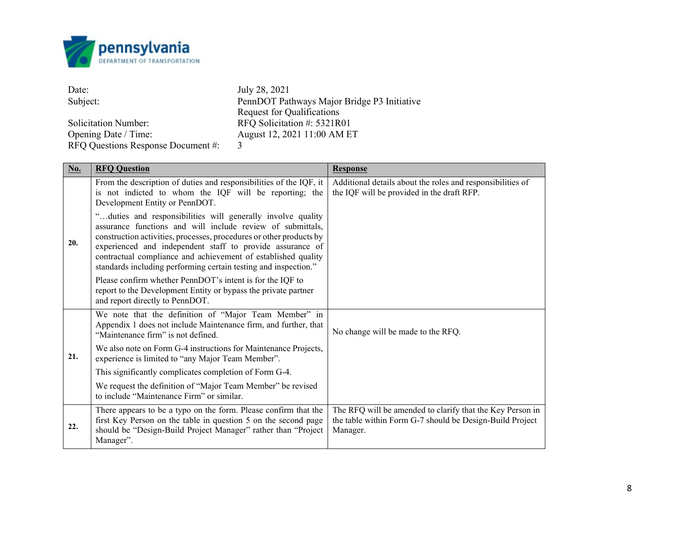

| Date:                              | July 28, 2021                               |
|------------------------------------|---------------------------------------------|
| Subject:                           | PennDOT Pathways Major Bridge P3 Initiative |
|                                    | Request for Qualifications                  |
| <b>Solicitation Number:</b>        | RFQ Solicitation #: 5321R01                 |
| Opening Date / Time:               | August 12, 2021 11:00 AM ET                 |
| RFQ Questions Response Document #: |                                             |

| No. | <b>RFQ Question</b>                                                                                                                                                                                                                                                                                                                                                                               | <b>Response</b>                                                                                                                   |
|-----|---------------------------------------------------------------------------------------------------------------------------------------------------------------------------------------------------------------------------------------------------------------------------------------------------------------------------------------------------------------------------------------------------|-----------------------------------------------------------------------------------------------------------------------------------|
|     | From the description of duties and responsibilities of the IQF, it<br>is not indicted to whom the IQF will be reporting; the<br>Development Entity or PennDOT.                                                                                                                                                                                                                                    | Additional details about the roles and responsibilities of<br>the IQF will be provided in the draft RFP.                          |
| 20. | "duties and responsibilities will generally involve quality<br>assurance functions and will include review of submittals,<br>construction activities, processes, procedures or other products by<br>experienced and independent staff to provide assurance of<br>contractual compliance and achievement of established quality<br>standards including performing certain testing and inspection." |                                                                                                                                   |
|     | Please confirm whether PennDOT's intent is for the IQF to<br>report to the Development Entity or bypass the private partner<br>and report directly to PennDOT.                                                                                                                                                                                                                                    |                                                                                                                                   |
|     | We note that the definition of "Major Team Member" in<br>Appendix 1 does not include Maintenance firm, and further, that<br>"Maintenance firm" is not defined.                                                                                                                                                                                                                                    | No change will be made to the RFQ.                                                                                                |
| 21. | We also note on Form G-4 instructions for Maintenance Projects,<br>experience is limited to "any Major Team Member".                                                                                                                                                                                                                                                                              |                                                                                                                                   |
|     | This significantly complicates completion of Form G-4.                                                                                                                                                                                                                                                                                                                                            |                                                                                                                                   |
|     | We request the definition of "Major Team Member" be revised<br>to include "Maintenance Firm" or similar.                                                                                                                                                                                                                                                                                          |                                                                                                                                   |
| 22. | There appears to be a typo on the form. Please confirm that the<br>first Key Person on the table in question 5 on the second page<br>should be "Design-Build Project Manager" rather than "Project<br>Manager".                                                                                                                                                                                   | The RFQ will be amended to clarify that the Key Person in<br>the table within Form G-7 should be Design-Build Project<br>Manager. |